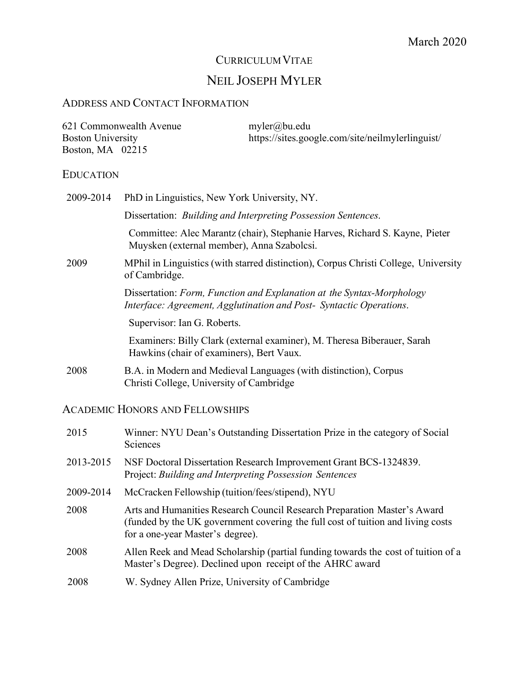# CURRICULUM VITAE

# NEIL JOSEPH MYLER

## ADDRESS AND CONTACT INFORMATION

| 621 Commonwealth Avenue  | $myler(a)$ bu.edu                                |
|--------------------------|--------------------------------------------------|
| <b>Boston University</b> | https://sites.google.com/site/neilmylerlinguist/ |
| Boston, MA 02215         |                                                  |

## EDUCATION

| 2009-2014 | PhD in Linguistics, New York University, NY.                                                                                                 |
|-----------|----------------------------------------------------------------------------------------------------------------------------------------------|
|           | Dissertation: <i>Building and Interpreting Possession Sentences</i> .                                                                        |
|           | Committee: Alec Marantz (chair), Stephanie Harves, Richard S. Kayne, Pieter<br>Muysken (external member), Anna Szabolcsi.                    |
| 2009      | MPhil in Linguistics (with starred distinction), Corpus Christi College, University<br>of Cambridge.                                         |
|           | Dissertation: Form, Function and Explanation at the Syntax-Morphology<br>Interface: Agreement, Agglutination and Post- Syntactic Operations. |
|           | Supervisor: Ian G. Roberts.                                                                                                                  |
|           | Examiners: Billy Clark (external examiner), M. Theresa Biberauer, Sarah<br>Hawkins (chair of examiners), Bert Vaux.                          |
| 2008      | B.A. in Modern and Medieval Languages (with distinction), Corpus<br>Christi College, University of Cambridge                                 |

# ACADEMIC HONORS AND FELLOWSHIPS

| 2015      | Winner: NYU Dean's Outstanding Dissertation Prize in the category of Social<br>Sciences                                                                                                          |
|-----------|--------------------------------------------------------------------------------------------------------------------------------------------------------------------------------------------------|
| 2013-2015 | NSF Doctoral Dissertation Research Improvement Grant BCS-1324839.<br>Project: Building and Interpreting Possession Sentences                                                                     |
| 2009-2014 | McCracken Fellowship (tuition/fees/stipend), NYU                                                                                                                                                 |
| 2008      | Arts and Humanities Research Council Research Preparation Master's Award<br>(funded by the UK government covering the full cost of tuition and living costs)<br>for a one-year Master's degree). |
| 2008      | Allen Reek and Mead Scholarship (partial funding towards the cost of tuition of a<br>Master's Degree). Declined upon receipt of the AHRC award                                                   |
| 2008      | W. Sydney Allen Prize, University of Cambridge                                                                                                                                                   |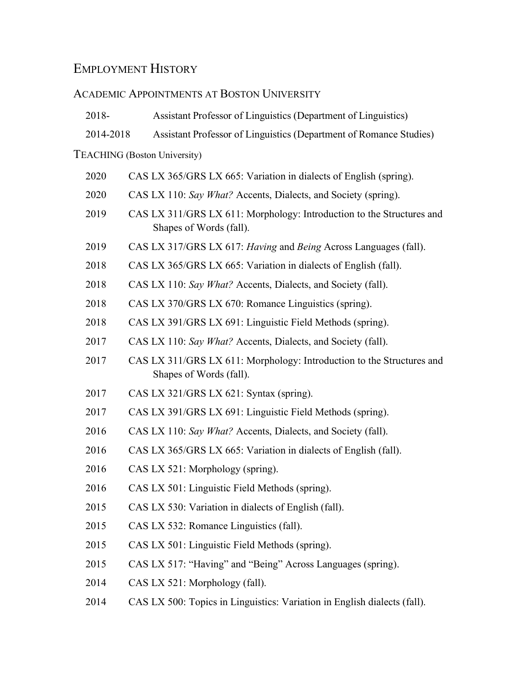# EMPLOYMENT HISTORY

# ACADEMIC APPOINTMENTS AT BOSTON UNIVERSITY

| 2018-     | Assistant Professor of Linguistics (Department of Linguistics)                                   |
|-----------|--------------------------------------------------------------------------------------------------|
| 2014-2018 | Assistant Professor of Linguistics (Department of Romance Studies)                               |
|           | <b>TEACHING</b> (Boston University)                                                              |
| 2020      | CAS LX 365/GRS LX 665: Variation in dialects of English (spring).                                |
| 2020      | CAS LX 110: Say What? Accents, Dialects, and Society (spring).                                   |
| 2019      | CAS LX 311/GRS LX 611: Morphology: Introduction to the Structures and<br>Shapes of Words (fall). |
| 2019      | CAS LX 317/GRS LX 617: Having and Being Across Languages (fall).                                 |
| 2018      | CAS LX 365/GRS LX 665: Variation in dialects of English (fall).                                  |
| 2018      | CAS LX 110: Say What? Accents, Dialects, and Society (fall).                                     |
| 2018      | CAS LX 370/GRS LX 670: Romance Linguistics (spring).                                             |
| 2018      | CAS LX 391/GRS LX 691: Linguistic Field Methods (spring).                                        |
| 2017      | CAS LX 110: Say What? Accents, Dialects, and Society (fall).                                     |
| 2017      | CAS LX 311/GRS LX 611: Morphology: Introduction to the Structures and<br>Shapes of Words (fall). |
| 2017      | CAS LX 321/GRS LX 621: Syntax (spring).                                                          |
| 2017      | CAS LX 391/GRS LX 691: Linguistic Field Methods (spring).                                        |
| 2016      | CAS LX 110: Say What? Accents, Dialects, and Society (fall).                                     |
| 2016      | CAS LX 365/GRS LX 665: Variation in dialects of English (fall).                                  |
| 2016      | CAS LX 521: Morphology (spring).                                                                 |
| 2016      | CAS LX 501: Linguistic Field Methods (spring).                                                   |
| 2015      | CAS LX 530: Variation in dialects of English (fall).                                             |
| 2015      | CAS LX 532: Romance Linguistics (fall).                                                          |
| 2015      | CAS LX 501: Linguistic Field Methods (spring).                                                   |
| 2015      | CAS LX 517: "Having" and "Being" Across Languages (spring).                                      |
| 2014      | CAS LX 521: Morphology (fall).                                                                   |
| 2014      | CAS LX 500: Topics in Linguistics: Variation in English dialects (fall).                         |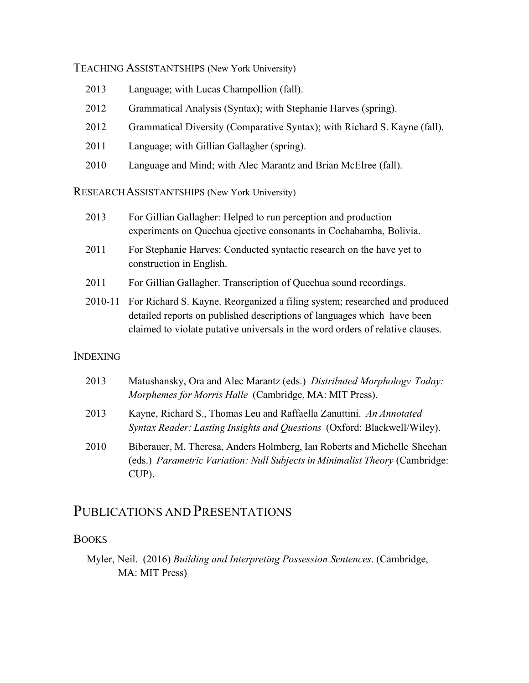TEACHING ASSISTANTSHIPS (New York University)

- 2013 Language; with Lucas Champollion (fall).
- 2012 Grammatical Analysis (Syntax); with Stephanie Harves (spring).
- 2012 Grammatical Diversity (Comparative Syntax); with Richard S. Kayne (fall).
- 2011 Language; with Gillian Gallagher (spring).
- 2010 Language and Mind; with Alec Marantz and Brian McElree (fall).

RESEARCHASSISTANTSHIPS (New York University)

- 2013 For Gillian Gallagher: Helped to run perception and production experiments on Quechua ejective consonants in Cochabamba, Bolivia.
- 2011 For Stephanie Harves: Conducted syntactic research on the have yet to construction in English.
- 2011 For Gillian Gallagher. Transcription of Quechua sound recordings.
- 2010-11 For Richard S. Kayne. Reorganized a filing system; researched and produced detailed reports on published descriptions of languages which have been claimed to violate putative universals in the word orders of relative clauses.

## INDEXING

| 2013 | Matushansky, Ora and Alec Marantz (eds.) Distributed Morphology Today:<br><i>Morphemes for Morris Halle</i> (Cambridge, MA: MIT Press).                          |
|------|------------------------------------------------------------------------------------------------------------------------------------------------------------------|
| 2013 | Kayne, Richard S., Thomas Leu and Raffaella Zanuttini. An Annotated<br>Syntax Reader: Lasting Insights and Questions (Oxford: Blackwell/Wiley).                  |
| 2010 | Biberauer, M. Theresa, Anders Holmberg, Ian Roberts and Michelle Sheehan<br>(eds.) Parametric Variation: Null Subjects in Minimalist Theory (Cambridge:<br>CUP). |

# PUBLICATIONS AND PRESENTATIONS

## **BOOKS**

Myler, Neil. (2016) *Building and Interpreting Possession Sentences*. (Cambridge, MA: MIT Press)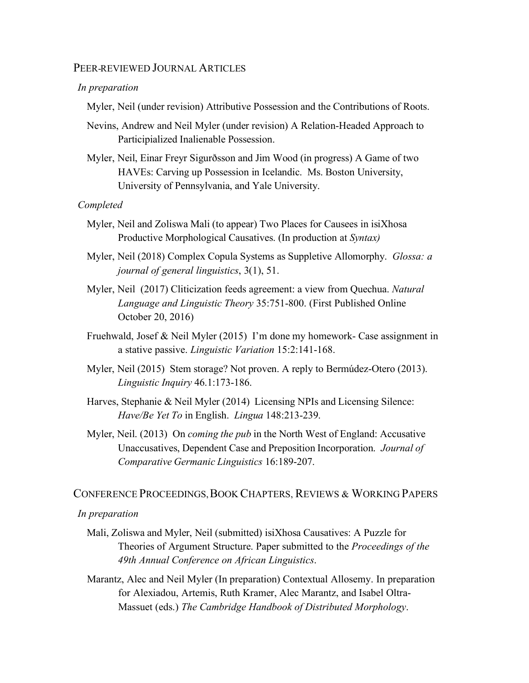#### PEER-REVIEWED JOURNAL ARTICLES

#### *In preparation*

Myler, Neil (under revision) Attributive Possession and the Contributions of Roots.

- Nevins, Andrew and Neil Myler (under revision) A Relation-Headed Approach to Participialized Inalienable Possession.
- Myler, Neil, Einar Freyr Sigurðsson and Jim Wood (in progress) A Game of two HAVEs: Carving up Possession in Icelandic. Ms. Boston University, University of Pennsylvania, and Yale University.

#### *Completed*

- Myler, Neil and Zoliswa Mali (to appear) Two Places for Causees in isiXhosa Productive Morphological Causatives. (In production at *Syntax)*
- Myler, Neil (2018) Complex Copula Systems as Suppletive Allomorphy. *Glossa: a journal of general linguistics*, 3(1), 51.
- Myler, Neil (2017) Cliticization feeds agreement: a view from Quechua. *Natural Language and Linguistic Theory* 35:751-800. (First Published Online October 20, 2016)
- Fruehwald, Josef & Neil Myler (2015) I'm done my homework- Case assignment in a stative passive. *Linguistic Variation* 15:2:141-168.
- Myler, Neil (2015) Stem storage? Not proven. A reply to Bermúdez-Otero (2013). *Linguistic Inquiry* 46.1:173-186.
- Harves, Stephanie & Neil Myler (2014) Licensing NPIs and Licensing Silence: *Have/Be Yet To* in English. *Lingua* 148:213-239.
- Myler, Neil. (2013) On *coming the pub* in the North West of England: Accusative Unaccusatives, Dependent Case and Preposition Incorporation. *Journal of Comparative Germanic Linguistics* 16:189-207.

#### CONFERENCE PROCEEDINGS, BOOK CHAPTERS, REVIEWS & WORKING PAPERS

#### *In preparation*

- Mali, Zoliswa and Myler, Neil (submitted) isiXhosa Causatives: A Puzzle for Theories of Argument Structure. Paper submitted to the *Proceedings of the 49th Annual Conference on African Linguistics*.
- Marantz, Alec and Neil Myler (In preparation) Contextual Allosemy. In preparation for Alexiadou, Artemis, Ruth Kramer, Alec Marantz, and Isabel Oltra-Massuet (eds.) *The Cambridge Handbook of Distributed Morphology*.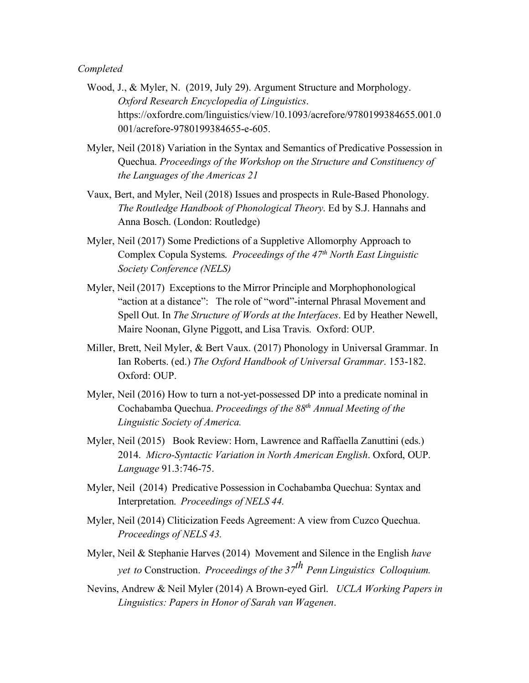#### *Completed*

- Wood, J., & Myler, N. (2019, July 29). Argument Structure and Morphology. *Oxford Research Encyclopedia of Linguistics*. https://oxfordre.com/linguistics/view/10.1093/acrefore/9780199384655.001.0 001/acrefore-9780199384655-e-605.
- Myler, Neil (2018) Variation in the Syntax and Semantics of Predicative Possession in Quechua. *Proceedings of the Workshop on the Structure and Constituency of the Languages of the Americas 21*
- Vaux, Bert, and Myler, Neil (2018) Issues and prospects in Rule-Based Phonology. *The Routledge Handbook of Phonological Theory*. Ed by S.J. Hannahs and Anna Bosch. (London: Routledge)
- Myler, Neil (2017) Some Predictions of a Suppletive Allomorphy Approach to Complex Copula Systems. *Proceedings of the 47th North East Linguistic Society Conference (NELS)*
- Myler, Neil (2017) Exceptions to the Mirror Principle and Morphophonological "action at a distance": The role of "word"-internal Phrasal Movement and Spell Out. In *The Structure of Words at the Interfaces*. Ed by Heather Newell, Maire Noonan, Glyne Piggott, and Lisa Travis. Oxford: OUP.
- Miller, Brett, Neil Myler, & Bert Vaux. (2017) Phonology in Universal Grammar. In Ian Roberts. (ed.) *The Oxford Handbook of Universal Grammar*. 153-182. Oxford: OUP.
- Myler, Neil (2016) How to turn a not-yet-possessed DP into a predicate nominal in Cochabamba Quechua. *Proceedings of the 88th Annual Meeting of the Linguistic Society of America.*
- Myler, Neil (2015) Book Review: Horn, Lawrence and Raffaella Zanuttini (eds.) 2014. *Micro-Syntactic Variation in North American English*. Oxford, OUP. *Language* 91.3:746-75.
- Myler, Neil (2014) Predicative Possession in Cochabamba Quechua: Syntax and Interpretation. *Proceedings of NELS 44.*
- Myler, Neil (2014) Cliticization Feeds Agreement: A view from Cuzco Quechua. *Proceedings of NELS 43.*
- Myler, Neil & Stephanie Harves (2014) Movement and Silence in the English *have yet to* Construction. *Proceedings of the 37th Penn Linguistics Colloquium.*
- Nevins, Andrew & Neil Myler (2014) A Brown-eyed Girl. *UCLA Working Papers in Linguistics: Papers in Honor of Sarah van Wagenen*.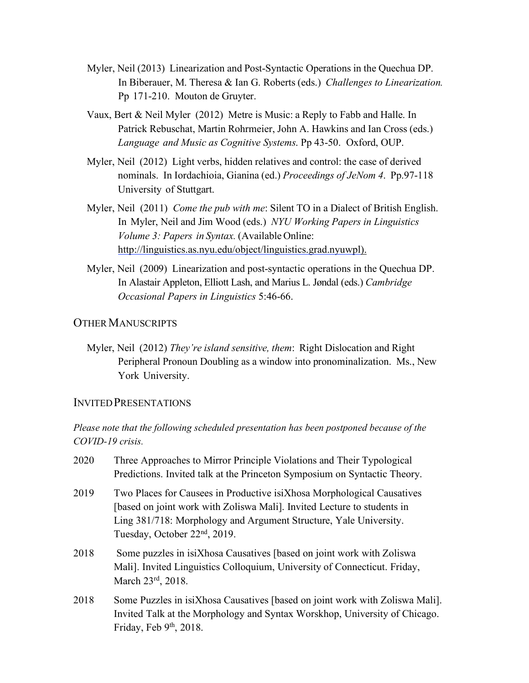- Myler, Neil (2013) Linearization and Post-Syntactic Operations in the Quechua DP. In Biberauer, M. Theresa & Ian G. Roberts (eds.) *Challenges to Linearization.* Pp 171-210. Mouton de Gruyter.
- Vaux, Bert & Neil Myler (2012) Metre is Music: a Reply to Fabb and Halle. In Patrick Rebuschat, Martin Rohrmeier, John A. Hawkins and Ian Cross (eds.) *Language and Music as Cognitive Systems*. Pp 43-50. Oxford, OUP.
- Myler, Neil (2012) Light verbs, hidden relatives and control: the case of derived nominals. In Iordachioia, Gianina (ed.) *Proceedings of JeNom 4*. Pp.97-118 University of Stuttgart.
- Myler, Neil (2011) *Come the pub with me*: Silent TO in a Dialect of British English. In Myler, Neil and Jim Wood (eds.) *NYU Working Papers in Linguistics Volume 3: Papers in Syntax.* (Available Online: http://linguistics.as.nyu.edu/object/linguistics.grad.nyuwpl).
- Myler, Neil (2009) Linearization and post-syntactic operations in the Quechua DP. In Alastair Appleton, Elliott Lash, and Marius L. Jøndal (eds.) *Cambridge Occasional Papers in Linguistics* 5:46-66.

### **OTHER MANUSCRIPTS**

Myler, Neil (2012) *They're island sensitive, them*: Right Dislocation and Right Peripheral Pronoun Doubling as a window into pronominalization. Ms., New York University.

### INVITEDPRESENTATIONS

## *Please note that the following scheduled presentation has been postponed because of the COVID-19 crisis.*

2020 Three Approaches to Mirror Principle Violations and Their Typological Predictions. Invited talk at the Princeton Symposium on Syntactic Theory. 2019 Two Places for Causees in Productive isiXhosa Morphological Causatives [based on joint work with Zoliswa Mali]. Invited Lecture to students in Ling 381/718: Morphology and Argument Structure, Yale University. Tuesday, October 22nd, 2019. 2018 Some puzzles in isiXhosa Causatives [based on joint work with Zoliswa Mali]. Invited Linguistics Colloquium, University of Connecticut. Friday, March 23rd, 2018. 2018 Some Puzzles in isiXhosa Causatives [based on joint work with Zoliswa Mali]. Invited Talk at the Morphology and Syntax Worskhop, University of Chicago. Friday, Feb 9<sup>th</sup>, 2018.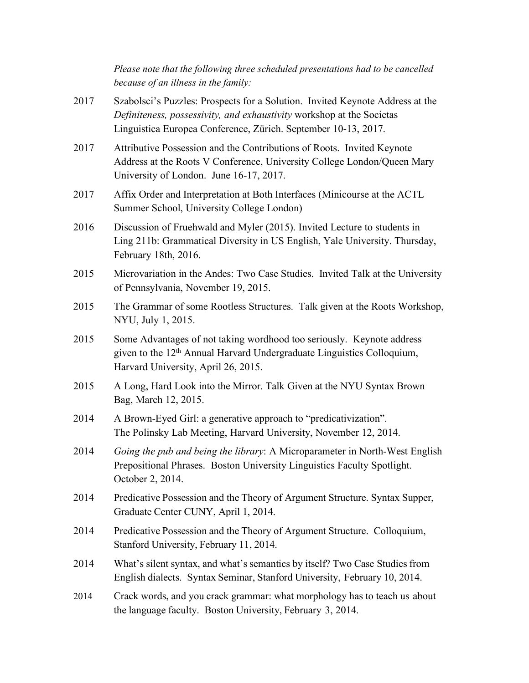*Please note that the following three scheduled presentations had to be cancelled because of an illness in the family:*

- 2017 Szabolsci's Puzzles: Prospects for a Solution. Invited Keynote Address at the *Definiteness, possessivity, and exhaustivity* workshop at the Societas Linguistica Europea Conference, Zürich. September 10-13, 2017.
- 2017 Attributive Possession and the Contributions of Roots. Invited Keynote Address at the Roots V Conference, University College London/Queen Mary University of London. June 16-17, 2017.
- 2017 Affix Order and Interpretation at Both Interfaces (Minicourse at the ACTL Summer School, University College London)
- 2016 Discussion of Fruehwald and Myler (2015). Invited Lecture to students in Ling 211b: Grammatical Diversity in US English, Yale University. Thursday, February 18th, 2016.
- 2015 Microvariation in the Andes: Two Case Studies. Invited Talk at the University of Pennsylvania, November 19, 2015.
- 2015 The Grammar of some Rootless Structures. Talk given at the Roots Workshop, NYU, July 1, 2015.
- 2015 Some Advantages of not taking wordhood too seriously. Keynote address given to the  $12<sup>th</sup>$  Annual Harvard Undergraduate Linguistics Colloquium, Harvard University, April 26, 2015.
- 2015 A Long, Hard Look into the Mirror. Talk Given at the NYU Syntax Brown Bag, March 12, 2015.
- 2014 A Brown-Eyed Girl: a generative approach to "predicativization". The Polinsky Lab Meeting, Harvard University, November 12, 2014.
- 2014 *Going the pub and being the library*: A Microparameter in North-West English Prepositional Phrases. Boston University Linguistics Faculty Spotlight. October 2, 2014.
- 2014 Predicative Possession and the Theory of Argument Structure. Syntax Supper, Graduate Center CUNY, April 1, 2014.
- 2014 Predicative Possession and the Theory of Argument Structure. Colloquium, Stanford University, February 11, 2014.
- 2014 What's silent syntax, and what's semantics by itself? Two Case Studies from English dialects. Syntax Seminar, Stanford University, February 10, 2014.
- 2014 Crack words, and you crack grammar: what morphology has to teach us about the language faculty. Boston University, February 3, 2014.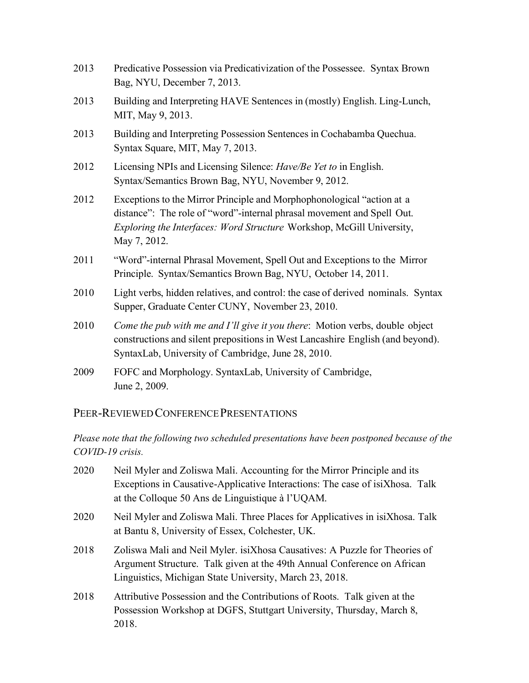- 2013 Predicative Possession via Predicativization of the Possessee. Syntax Brown Bag, NYU, December 7, 2013.
- 2013 Building and Interpreting HAVE Sentences in (mostly) English. Ling-Lunch, MIT, May 9, 2013.
- 2013 Building and Interpreting Possession Sentences in Cochabamba Quechua. Syntax Square, MIT, May 7, 2013.
- 2012 Licensing NPIs and Licensing Silence: *Have/Be Yet to* in English. Syntax/Semantics Brown Bag, NYU, November 9, 2012.
- 2012 Exceptions to the Mirror Principle and Morphophonological "action at a distance": The role of "word"-internal phrasal movement and Spell Out. *Exploring the Interfaces: Word Structure* Workshop, McGill University, May 7, 2012.
- 2011 "Word"-internal Phrasal Movement, Spell Out and Exceptions to the Mirror Principle. Syntax/Semantics Brown Bag, NYU, October 14, 2011.
- 2010 Light verbs, hidden relatives, and control: the case of derived nominals. Syntax Supper, Graduate Center CUNY, November 23, 2010.
- 2010 *Come the pub with me and I'll give it you there*: Motion verbs, double object constructions and silent prepositions in West Lancashire English (and beyond). SyntaxLab, University of Cambridge, June 28, 2010.
- 2009 FOFC and Morphology. SyntaxLab, University of Cambridge, June 2, 2009.

## PEER-REVIEWED CONFERENCE PRESENTATIONS

## *Please note that the following two scheduled presentations have been postponed because of the COVID-19 crisis.*

2020 Neil Myler and Zoliswa Mali. Accounting for the Mirror Principle and its Exceptions in Causative-Applicative Interactions: The case of isiXhosa. Talk at the Colloque 50 Ans de Linguistique à l'UQAM. 2020 Neil Myler and Zoliswa Mali. Three Places for Applicatives in isiXhosa. Talk at Bantu 8, University of Essex, Colchester, UK. 2018 Zoliswa Mali and Neil Myler. isiXhosa Causatives: A Puzzle for Theories of Argument Structure. Talk given at the 49th Annual Conference on African Linguistics, Michigan State University, March 23, 2018. 2018 Attributive Possession and the Contributions of Roots. Talk given at the Possession Workshop at DGFS, Stuttgart University, Thursday, March 8, 2018.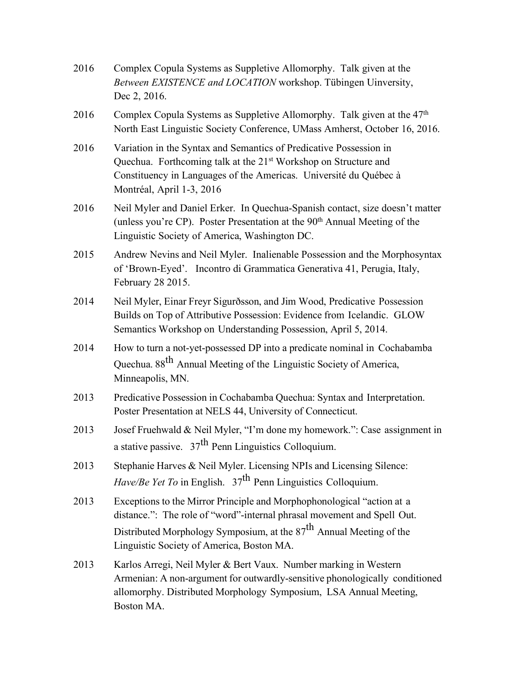| 2016 | Complex Copula Systems as Suppletive Allomorphy. Talk given at the<br>Between EXISTENCE and LOCATION workshop. Tübingen Uinversity,<br>Dec 2, 2016.                                                                                                                     |
|------|-------------------------------------------------------------------------------------------------------------------------------------------------------------------------------------------------------------------------------------------------------------------------|
| 2016 | Complex Copula Systems as Suppletive Allomorphy. Talk given at the $47th$<br>North East Linguistic Society Conference, UMass Amherst, October 16, 2016.                                                                                                                 |
| 2016 | Variation in the Syntax and Semantics of Predicative Possession in<br>Quechua. Forthcoming talk at the 21 <sup>st</sup> Workshop on Structure and<br>Constituency in Languages of the Americas. Université du Québec à<br>Montréal, April 1-3, 2016                     |
| 2016 | Neil Myler and Daniel Erker. In Quechua-Spanish contact, size doesn't matter<br>(unless you're CP). Poster Presentation at the 90 <sup>th</sup> Annual Meeting of the<br>Linguistic Society of America, Washington DC.                                                  |
| 2015 | Andrew Nevins and Neil Myler. Inalienable Possession and the Morphosyntax<br>of 'Brown-Eyed'. Incontro di Grammatica Generativa 41, Perugia, Italy,<br>February 28 2015.                                                                                                |
| 2014 | Neil Myler, Einar Freyr Sigurðsson, and Jim Wood, Predicative Possession<br>Builds on Top of Attributive Possession: Evidence from Icelandic. GLOW<br>Semantics Workshop on Understanding Possession, April 5, 2014.                                                    |
| 2014 | How to turn a not-yet-possessed DP into a predicate nominal in Cochabamba<br>Quechua. 88 <sup>th</sup> Annual Meeting of the Linguistic Society of America,<br>Minneapolis, MN.                                                                                         |
| 2013 | Predicative Possession in Cochabamba Quechua: Syntax and Interpretation.<br>Poster Presentation at NELS 44, University of Connecticut.                                                                                                                                  |
| 2013 | Josef Fruehwald & Neil Myler, "I'm done my homework.": Case assignment in<br>a stative passive. $37th$ Penn Linguistics Colloquium.                                                                                                                                     |
| 2013 | Stephanie Harves & Neil Myler. Licensing NPIs and Licensing Silence:<br><i>Have/Be Yet To</i> in English. $37th$ Penn Linguistics Colloquium.                                                                                                                           |
| 2013 | Exceptions to the Mirror Principle and Morphophonological "action at a<br>distance.": The role of "word"-internal phrasal movement and Spell Out.<br>Distributed Morphology Symposium, at the $87th$ Annual Meeting of the<br>Linguistic Society of America, Boston MA. |
| 2013 | Karlos Arregi, Neil Myler & Bert Vaux. Number marking in Western<br>Armenian: A non-argument for outwardly-sensitive phonologically conditioned<br>allomorphy. Distributed Morphology Symposium, LSA Annual Meeting,<br>Boston MA.                                      |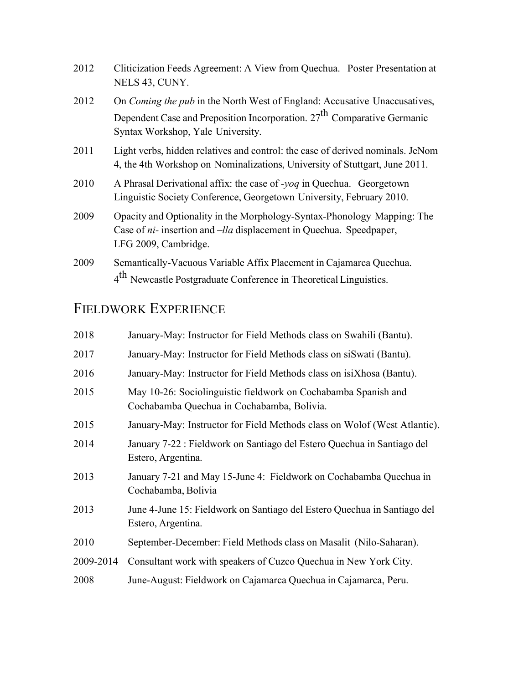| 2012 | Cliticization Feeds Agreement: A View from Quechua. Poster Presentation at<br>NELS 43, CUNY.                                                                                                                 |
|------|--------------------------------------------------------------------------------------------------------------------------------------------------------------------------------------------------------------|
| 2012 | On <i>Coming the pub</i> in the North West of England: Accusative Unaccusatives,<br>Dependent Case and Preposition Incorporation. 27 <sup>th</sup> Comparative Germanic<br>Syntax Workshop, Yale University. |
| 2011 | Light verbs, hidden relatives and control: the case of derived nominals. JeNom<br>4, the 4th Workshop on Nominalizations, University of Stuttgart, June 2011.                                                |
| 2010 | A Phrasal Derivational affix: the case of -yoq in Quechua. Georgetown<br>Linguistic Society Conference, Georgetown University, February 2010.                                                                |
| 2009 | Opacity and Optionality in the Morphology-Syntax-Phonology Mapping: The<br>Case of <i>ni</i> - insertion and – <i>lla</i> displacement in Quechua. Speedpaper,<br>LFG 2009, Cambridge.                       |
| 2009 | Semantically-Vacuous Variable Affix Placement in Cajamarca Quechua.<br>4 <sup>th</sup> Newcastle Postgraduate Conference in Theoretical Linguistics.                                                         |

# FIELDWORK EXPERIENCE

| 2018      | January-May: Instructor for Field Methods class on Swahili (Bantu).                                          |
|-----------|--------------------------------------------------------------------------------------------------------------|
| 2017      | January-May: Instructor for Field Methods class on siSwati (Bantu).                                          |
| 2016      | January-May: Instructor for Field Methods class on isiXhosa (Bantu).                                         |
| 2015      | May 10-26: Sociolinguistic fieldwork on Cochabamba Spanish and<br>Cochabamba Quechua in Cochabamba, Bolivia. |
| 2015      | January-May: Instructor for Field Methods class on Wolof (West Atlantic).                                    |
| 2014      | January 7-22 : Fieldwork on Santiago del Estero Quechua in Santiago del<br>Estero, Argentina.                |
| 2013      | January 7-21 and May 15-June 4: Fieldwork on Cochabamba Quechua in<br>Cochabamba, Bolivia                    |
| 2013      | June 4-June 15: Fieldwork on Santiago del Estero Quechua in Santiago del<br>Estero, Argentina.               |
| 2010      | September-December: Field Methods class on Masalit (Nilo-Saharan).                                           |
| 2009-2014 | Consultant work with speakers of Cuzco Quechua in New York City.                                             |
| 2008      | June-August: Fieldwork on Cajamarca Quechua in Cajamarca, Peru.                                              |
|           |                                                                                                              |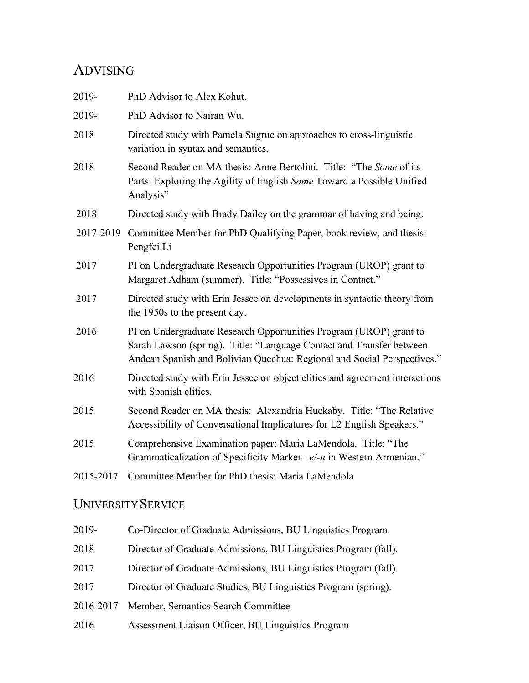# ADVISING

| 2019-     | PhD Advisor to Alex Kohut.                                                                                                                                                                                            |
|-----------|-----------------------------------------------------------------------------------------------------------------------------------------------------------------------------------------------------------------------|
| 2019-     | PhD Advisor to Nairan Wu.                                                                                                                                                                                             |
| 2018      | Directed study with Pamela Sugrue on approaches to cross-linguistic<br>variation in syntax and semantics.                                                                                                             |
| 2018      | Second Reader on MA thesis: Anne Bertolini. Title: "The Some of its<br>Parts: Exploring the Agility of English Some Toward a Possible Unified<br>Analysis"                                                            |
| 2018      | Directed study with Brady Dailey on the grammar of having and being.                                                                                                                                                  |
| 2017-2019 | Committee Member for PhD Qualifying Paper, book review, and thesis:<br>Pengfei Li                                                                                                                                     |
| 2017      | PI on Undergraduate Research Opportunities Program (UROP) grant to<br>Margaret Adham (summer). Title: "Possessives in Contact."                                                                                       |
| 2017      | Directed study with Erin Jessee on developments in syntactic theory from<br>the 1950s to the present day.                                                                                                             |
| 2016      | PI on Undergraduate Research Opportunities Program (UROP) grant to<br>Sarah Lawson (spring). Title: "Language Contact and Transfer between<br>Andean Spanish and Bolivian Quechua: Regional and Social Perspectives." |
| 2016      | Directed study with Erin Jessee on object clitics and agreement interactions<br>with Spanish clitics.                                                                                                                 |
| 2015      | Second Reader on MA thesis: Alexandria Huckaby. Title: "The Relative<br>Accessibility of Conversational Implicatures for L2 English Speakers."                                                                        |
| 2015      | Comprehensive Examination paper: Maria LaMendola. Title: "The<br>Grammaticalization of Specificity Marker $-e/-n$ in Western Armenian."                                                                               |
| 2015-2017 | Committee Member for PhD thesis: Maria LaMendola                                                                                                                                                                      |
|           |                                                                                                                                                                                                                       |

# UNIVERSITY SERVICE

| 2019-     | Co-Director of Graduate Admissions, BU Linguistics Program.     |
|-----------|-----------------------------------------------------------------|
| 2018      | Director of Graduate Admissions, BU Linguistics Program (fall). |
| 2017      | Director of Graduate Admissions, BU Linguistics Program (fall). |
| 2017      | Director of Graduate Studies, BU Linguistics Program (spring).  |
| 2016-2017 | Member, Semantics Search Committee                              |
| 2016      | Assessment Liaison Officer, BU Linguistics Program              |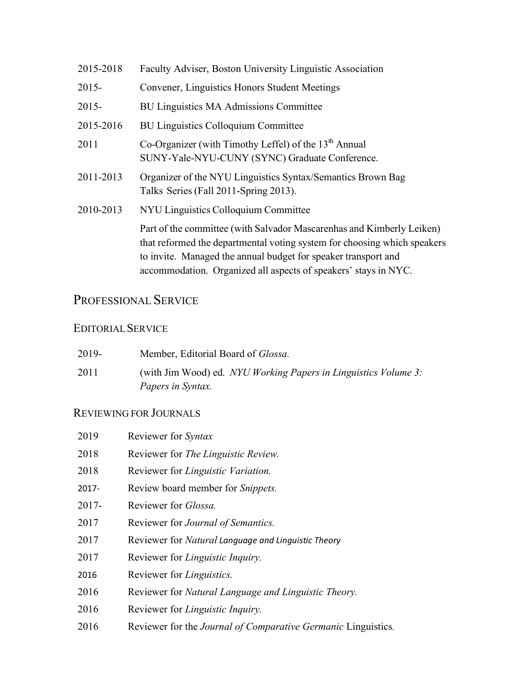| 2015-2018 | Faculty Adviser, Boston University Linguistic Association                                                                                                                                                                                                                              |
|-----------|----------------------------------------------------------------------------------------------------------------------------------------------------------------------------------------------------------------------------------------------------------------------------------------|
| $2015 -$  | Convener, Linguistics Honors Student Meetings                                                                                                                                                                                                                                          |
| $2015 -$  | <b>BU Linguistics MA Admissions Committee</b>                                                                                                                                                                                                                                          |
| 2015-2016 | <b>BU Linguistics Colloquium Committee</b>                                                                                                                                                                                                                                             |
| 2011      | Co-Organizer (with Timothy Leffel) of the 13 <sup>th</sup> Annual<br>SUNY-Yale-NYU-CUNY (SYNC) Graduate Conference.                                                                                                                                                                    |
| 2011-2013 | Organizer of the NYU Linguistics Syntax/Semantics Brown Bag<br>Talks Series (Fall 2011-Spring 2013).                                                                                                                                                                                   |
| 2010-2013 | NYU Linguistics Colloquium Committee                                                                                                                                                                                                                                                   |
|           | Part of the committee (with Salvador Mascarenhas and Kimberly Leiken)<br>that reformed the departmental voting system for choosing which speakers<br>to invite. Managed the annual budget for speaker transport and<br>accommodation. Organized all aspects of speakers' stays in NYC. |

# PROFESSIONAL SERVICE

## EDITORIALSERVICE

| 2019- | Member, Editorial Board of <i>Glossa</i> .                                                  |
|-------|---------------------------------------------------------------------------------------------|
| 2011  | (with Jim Wood) ed. NYU Working Papers in Linguistics Volume 3:<br><i>Papers in Syntax.</i> |

# REVIEWING FOR JOURNALS

| 2019     | Reviewer for Syntax                                                   |
|----------|-----------------------------------------------------------------------|
| 2018     | Reviewer for <i>The Linguistic Review</i> .                           |
| 2018     | Reviewer for Linguistic Variation.                                    |
| 2017-    | Review board member for <i>Snippets</i> .                             |
| $2017 -$ | Reviewer for <i>Glossa</i> .                                          |
| 2017     | Reviewer for Journal of Semantics.                                    |
| 2017     | Reviewer for Natural Language and Linguistic Theory                   |
| 2017     | Reviewer for Linguistic Inquiry.                                      |
| 2016     | Reviewer for <i>Linguistics</i> .                                     |
| 2016     | Reviewer for Natural Language and Linguistic Theory.                  |
| 2016     | Reviewer for Linguistic Inquiry.                                      |
| 2016     | Reviewer for the <i>Journal of Comparative Germanic Linguistics</i> . |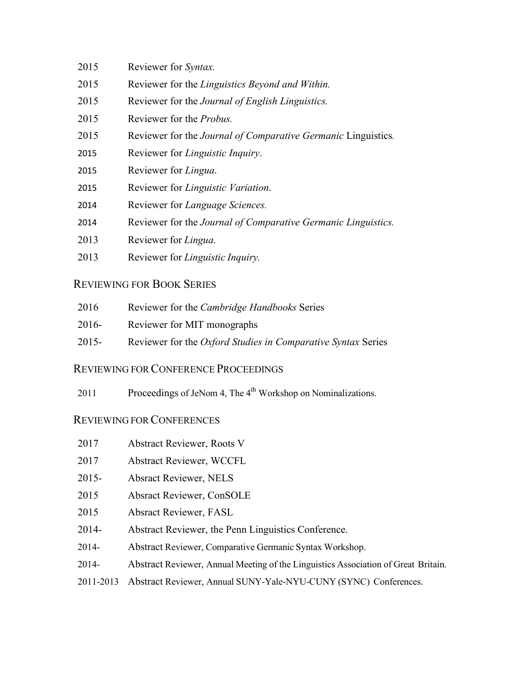- Reviewer for *Syntax.*
- Reviewer for the *Linguistics Beyond and Within.*
- Reviewer for the *Journal of English Linguistics.*
- Reviewer for the *Probus.*
- Reviewer for the *Journal of Comparative Germanic* Linguistics*.*
- Reviewer for *Linguistic Inquiry*.
- Reviewer for *Lingua*.
- Reviewer for *Linguistic Variation*.
- Reviewer for *Language Sciences.*
- Reviewer for the *Journal of Comparative Germanic Linguistics.*
- Reviewer for *Lingua*.
- Reviewer for *Linguistic Inquiry.*

## REVIEWING FOR BOOK SERIES

- Reviewer for the *Cambridge Handbooks* Series
- 2016- Reviewer for MIT monographs
- 2015- Reviewer for the *Oxford Studies in Comparative Syntax* Series

### REVIEWING FOR CONFERENCE PROCEEDINGS

2011 Proceedings of JeNom 4, The  $4<sup>th</sup>$  Workshop on Nominalizations.

## REVIEWING FOR CONFERENCES

- Abstract Reviewer, Roots V
- Abstract Reviewer, WCCFL
- 2015- Absract Reviewer, NELS
- Absract Reviewer, ConSOLE
- Absract Reviewer, FASL
- 2014- Abstract Reviewer, the Penn Linguistics Conference.
- 2014- Abstract Reviewer, Comparative Germanic Syntax Workshop.
- 2014- Abstract Reviewer, Annual Meeting of the Linguistics Association of Great Britain.
- 2011-2013 Abstract Reviewer, Annual SUNY-Yale-NYU-CUNY (SYNC) Conferences.